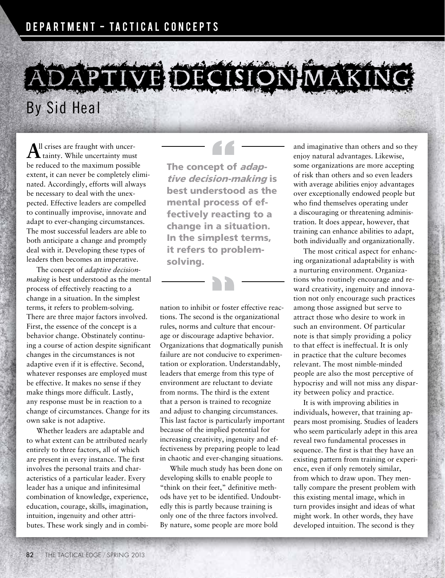## DAPTIVE DECISION-MAKI

By Sid Heal

 ${\bf A}^{\rm ll}$  crises are fraught with uncer-<br>tainty. While uncertainty must be reduced to the maximum possible extent, it can never be completely eliminated. Accordingly, efforts will always be necessary to deal with the unexpected. Effective leaders are compelled to continually improvise, innovate and adapt to ever-changing circumstances. The most successful leaders are able to both anticipate a change and promptly deal with it. Developing these types of leaders then becomes an imperative.

The concept of *adaptive decisionmaking* is best understood as the mental process of effectively reacting to a change in a situation. In the simplest terms, it refers to problem-solving. There are three major factors involved. First, the essence of the concept is a behavior change. Obstinately continuing a course of action despite significant changes in the circumstances is not adaptive even if it is effective. Second, whatever responses are employed must be effective. It makes no sense if they make things more difficult. Lastly, any response must be in reaction to a change of circumstances. Change for its own sake is not adaptive.

Whether leaders are adaptable and to what extent can be attributed nearly entirely to three factors, all of which are present in every instance. The first involves the personal traits and characteristics of a particular leader. Every leader has a unique and infinitesimal combination of knowledge, experience, education, courage, skills, imagination, intuition, ingenuity and other attributes. These work singly and in combiThe concept of adaptive decision-making is best understood as the mental process of effectively reacting to a change in a situation. In the simplest terms, it refers to problemsolving.

nation to inhibit or foster effective reactions. The second is the organizational rules, norms and culture that encourage or discourage adaptive behavior. Organizations that dogmatically punish failure are not conducive to experimentation or exploration. Understandably, leaders that emerge from this type of environment are reluctant to deviate from norms. The third is the extent that a person is trained to recognize and adjust to changing circumstances. This last factor is particularly important because of the implied potential for increasing creativity, ingenuity and effectiveness by preparing people to lead in chaotic and ever-changing situations.

While much study has been done on developing skills to enable people to "think on their feet," definitive methods have yet to be identified. Undoubtedly this is partly because training is only one of the three factors involved. By nature, some people are more bold

and imaginative than others and so they enjoy natural advantages. Likewise, some organizations are more accepting of risk than others and so even leaders with average abilities enjoy advantages over exceptionally endowed people but who find themselves operating under a discouraging or threatening administration. It does appear, however, that training can enhance abilities to adapt, both individually and organizationally.

The most critical aspect for enhancing organizational adaptability is with a nurturing environment. Organizations who routinely encourage and reward creativity, ingenuity and innovation not only encourage such practices among those assigned but serve to attract those who desire to work in such an environment. Of particular note is that simply providing a policy to that effect is ineffectual. It is only in practice that the culture becomes relevant. The most nimble-minded people are also the most perceptive of hypocrisy and will not miss any disparity between policy and practice.

It is with improving abilities in individuals, however, that training appears most promising. Studies of leaders who seem particularly adept in this area reveal two fundamental processes in sequence. The first is that they have an existing pattern from training or experience, even if only remotely similar, from which to draw upon. They mentally compare the present problem with this existing mental image, which in turn provides insight and ideas of what might work. In other words, they have developed intuition. The second is they